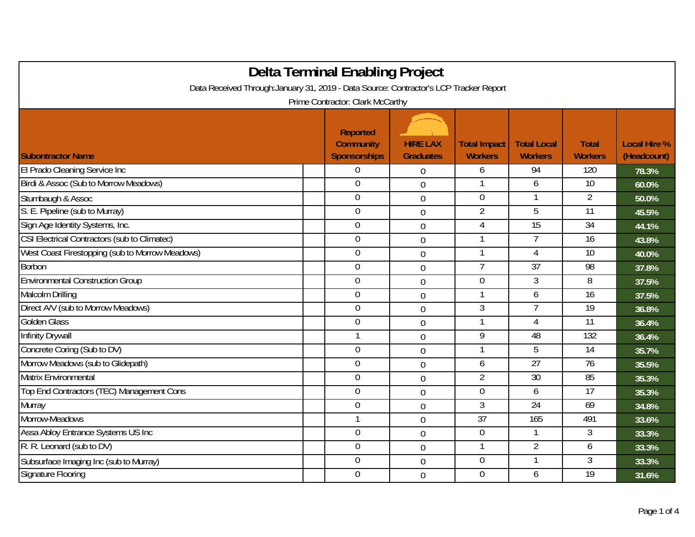| <b>Delta Terminal Enabling Project</b>                                                 |                                                            |                                     |                                       |                                      |                                |                                    |  |
|----------------------------------------------------------------------------------------|------------------------------------------------------------|-------------------------------------|---------------------------------------|--------------------------------------|--------------------------------|------------------------------------|--|
| Data Received Through: January 31, 2019 - Data Source: Contractor's LCP Tracker Report |                                                            |                                     |                                       |                                      |                                |                                    |  |
| Prime Contractor: Clark McCarthy                                                       |                                                            |                                     |                                       |                                      |                                |                                    |  |
| <b>Subontractor Name</b>                                                               | <b>Reported</b><br><b>Community</b><br><b>Sponsorships</b> | <b>HIRE LAX</b><br><b>Graduates</b> | <b>Total Impact</b><br><b>Workers</b> | <b>Total Local</b><br><b>Workers</b> | <b>Total</b><br><b>Workers</b> | <b>Local Hire %</b><br>(Headcount) |  |
| El Prado Cleaning Service Inc                                                          | $\Omega$                                                   | $\overline{0}$                      | 6                                     | 94                                   | 120                            | 78.3%                              |  |
| Birdi & Assoc (Sub to Morrow Meadows)                                                  | $\overline{0}$                                             | $\mathbf 0$                         |                                       | 6                                    | 10                             | 60.0%                              |  |
| Stumbaugh & Assoc                                                                      | $\overline{0}$                                             | $\mathbf 0$                         | $\boldsymbol{0}$                      |                                      | $\overline{2}$                 | 50.0%                              |  |
| S. E. Pipeline (sub to Murray)                                                         | $\overline{0}$                                             | $\mathbf 0$                         | $\overline{2}$                        | 5                                    | $\overline{11}$                | 45.5%                              |  |
| Sign Age Identity Systems, Inc.                                                        | $\overline{0}$                                             | $\overline{0}$                      | $\overline{4}$                        | 15                                   | 34                             | 44.1%                              |  |
| <b>CSI Electrical Contractors (sub to Climatec)</b>                                    | $\overline{0}$                                             | $\overline{0}$                      |                                       | $\overline{7}$                       | 16                             | 43.8%                              |  |
| West Coast Firestopping (sub to Morrow Meadows)                                        | $\overline{0}$                                             | $\boldsymbol{0}$                    | 1                                     | 4                                    | 10                             | 40.0%                              |  |
| <b>Borbon</b>                                                                          | $\overline{0}$                                             | $\mathbf 0$                         | $\overline{7}$                        | $\overline{37}$                      | 98                             | 37.8%                              |  |
| <b>Environmental Construction Group</b>                                                | $\overline{0}$                                             | $\mathbf 0$                         | $\theta$                              | 3                                    | 8                              | 37.5%                              |  |
| Malcolm Drilling                                                                       | $\overline{0}$                                             | $\overline{0}$                      |                                       | 6                                    | 16                             | 37.5%                              |  |
| Direct A/V (sub to Morrow Meadows)                                                     | $\overline{0}$                                             | $\overline{0}$                      | $\mathfrak{Z}$                        | $\overline{7}$                       | $\overline{19}$                | 36.8%                              |  |
| <b>Golden Glass</b>                                                                    | $\boldsymbol{0}$                                           | $\overline{0}$                      |                                       | 4                                    | $\overline{11}$                | 36.4%                              |  |
| <b>Infinity Drywall</b>                                                                | $\overline{1}$                                             | $\overline{0}$                      | 9                                     | 48                                   | 132                            | 36.4%                              |  |
| Concrete Coring (Sub to DV)                                                            | $\overline{0}$                                             | $\overline{0}$                      |                                       | 5                                    | $\overline{14}$                | 35.7%                              |  |
| Morrow Meadows (sub to Glidepath)                                                      | $\mathbf 0$                                                | $\overline{0}$                      | 6                                     | 27                                   | $\overline{76}$                | 35.5%                              |  |
| <b>Matrix Environmental</b>                                                            | $\mathbf 0$                                                | $\mathbf 0$                         | $\overline{2}$                        | 30                                   | 85                             | 35.3%                              |  |
| Top End Contractors (TEC) Management Cons                                              | $\boldsymbol{0}$                                           | $\mathbf 0$                         | $\boldsymbol{0}$                      | 6                                    | $\overline{17}$                | 35.3%                              |  |
| Murray                                                                                 | $\overline{0}$                                             | $\overline{0}$                      | 3                                     | $\overline{24}$                      | 69                             | 34.8%                              |  |
| Morrow-Meadows                                                                         | $\mathbf{1}$                                               | $\theta$                            | 37                                    | 165                                  | 491                            | 33.6%                              |  |
| Assa Abloy Entrance Systems US Inc                                                     | $\mathbf 0$                                                | $\overline{0}$                      | $\mathbf 0$                           |                                      | 3                              | 33.3%                              |  |
| R. R. Leonard (sub to DV)                                                              | $\boldsymbol{0}$                                           | $\overline{0}$                      |                                       | $\overline{2}$                       | 6                              | 33.3%                              |  |
| Subsurface Imaging Inc (sub to Murray)                                                 | $\overline{0}$                                             | $\overline{0}$                      | $\mathbf 0$                           | 1                                    | 3                              | 33.3%                              |  |
| <b>Signature Flooring</b>                                                              | $\mathbf 0$                                                | $\overline{0}$                      | $\overline{0}$                        | 6                                    | $\overline{19}$                | 31.6%                              |  |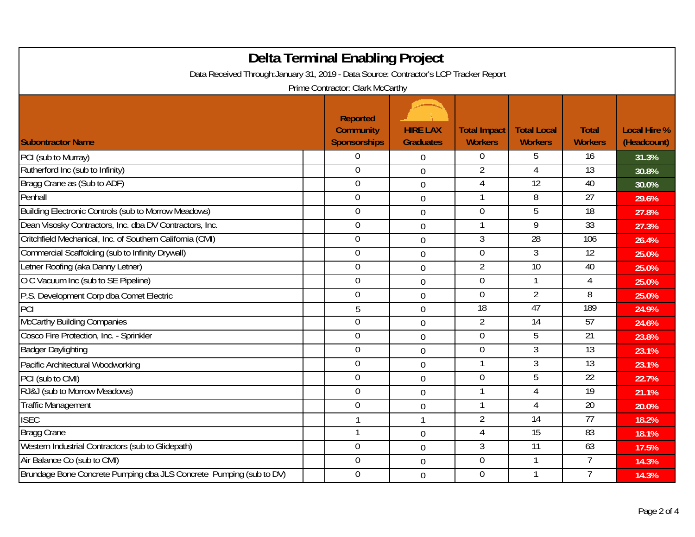| Delta Terminal Enabling Project                                                                                            |                  |                |                  |                 |                 |       |  |
|----------------------------------------------------------------------------------------------------------------------------|------------------|----------------|------------------|-----------------|-----------------|-------|--|
| Data Received Through: January 31, 2019 - Data Source: Contractor's LCP Tracker Report<br>Prime Contractor: Clark McCarthy |                  |                |                  |                 |                 |       |  |
|                                                                                                                            |                  |                |                  |                 |                 |       |  |
| PCI (sub to Murray)                                                                                                        | $\overline{0}$   | $\overline{0}$ | $\overline{0}$   | 5               | $\overline{16}$ | 31.3% |  |
| Rutherford Inc (sub to Infinity)                                                                                           | $\overline{0}$   | $\overline{0}$ | $\overline{2}$   | 4               | 13              | 30.8% |  |
| Bragg Crane as (Sub to ADF)                                                                                                | $\overline{0}$   | $\overline{0}$ | 4                | 12              | 40              | 30.0% |  |
| Penhall                                                                                                                    | $\theta$         | $\mathbf 0$    |                  | 8               | 27              | 29.6% |  |
| Building Electronic Controls (sub to Morrow Meadows)                                                                       | $\mathbf 0$      | $\overline{0}$ | $\boldsymbol{0}$ | 5               | $\overline{18}$ | 27.8% |  |
| Dean Visosky Contractors, Inc. dba DV Contractors, Inc.                                                                    | $\overline{0}$   | $\overline{0}$ | $\mathbf{1}$     | 9               | 33              | 27.3% |  |
| Critchfield Mechanical, Inc. of Southern California (CMI)                                                                  | $\theta$         | $\overline{0}$ | 3                | $\overline{28}$ | 106             | 26.4% |  |
| Commercial Scaffolding (sub to Infinity Drywall)                                                                           | $\overline{0}$   | $\overline{0}$ | $\mathbf 0$      | 3               | $\overline{12}$ | 25.0% |  |
| Letner Roofing (aka Danny Letner)                                                                                          | $\overline{0}$   | $\mathbf 0$    | $\overline{2}$   | $\overline{10}$ | 40              | 25.0% |  |
| O C Vacuum Inc (sub to SE Pipeline)                                                                                        | $\boldsymbol{0}$ | $\overline{0}$ | $\mathbf 0$      | -1              | 4               | 25.0% |  |
| P.S. Development Corp dba Comet Electric                                                                                   | $\overline{0}$   | $\overline{0}$ | $\overline{0}$   | $\overline{2}$  | 8               | 25.0% |  |
| PCI                                                                                                                        | 5                | $\overline{0}$ | $\overline{18}$  | 47              | 189             | 24.9% |  |
| <b>McCarthy Building Companies</b>                                                                                         | $\overline{0}$   | $\overline{0}$ | $\overline{2}$   | 14              | 57              | 24.6% |  |
| Cosco Fire Protection, Inc. - Sprinkler                                                                                    | $\mathbf 0$      | $\overline{0}$ | $\overline{0}$   | 5               | $\overline{21}$ | 23.8% |  |
| <b>Badger Daylighting</b>                                                                                                  | $\overline{0}$   | $\mathbf 0$    | $\mathbf 0$      | 3               | 13              | 23.1% |  |
| Pacific Architectural Woodworking                                                                                          | $\mathbf 0$      | $\overline{0}$ | 1                | 3               | $\overline{13}$ | 23.1% |  |
| PCI (sub to CMI)                                                                                                           | $\overline{0}$   | $\overline{0}$ | $\overline{0}$   | 5               | 22              | 22.7% |  |
| RJ&J (sub to Morrow Meadows)                                                                                               | $\theta$         | $\overline{0}$ | $\mathbf{1}$     | 4               | $\overline{19}$ | 21.1% |  |
| <b>Traffic Management</b>                                                                                                  | $\overline{0}$   | $\overline{0}$ | 1                | 4               | $\overline{20}$ | 20.0% |  |
| <b>ISEC</b>                                                                                                                | $\mathbf{1}$     | $\mathbf{1}$   | $\overline{2}$   | $\overline{14}$ | 77              | 18.2% |  |
| <b>Bragg Crane</b>                                                                                                         | $\overline{1}$   | $\overline{0}$ | 4                | $\overline{15}$ | 83              | 18.1% |  |
| Western Industrial Contractors (sub to Glidepath)                                                                          | $\overline{0}$   | $\mathbf 0$    | 3                | 11              | 63              | 17.5% |  |
| Air Balance Co (sub to CMI)                                                                                                | $\overline{0}$   | $\overline{0}$ | $\overline{0}$   | $\mathbf{1}$    | $\overline{7}$  | 14.3% |  |
| Brundage Bone Concrete Pumping dba JLS Concrete Pumping (sub to DV)                                                        | $\mathbf 0$      | $\overline{0}$ | $\overline{0}$   | -1              |                 | 14.3% |  |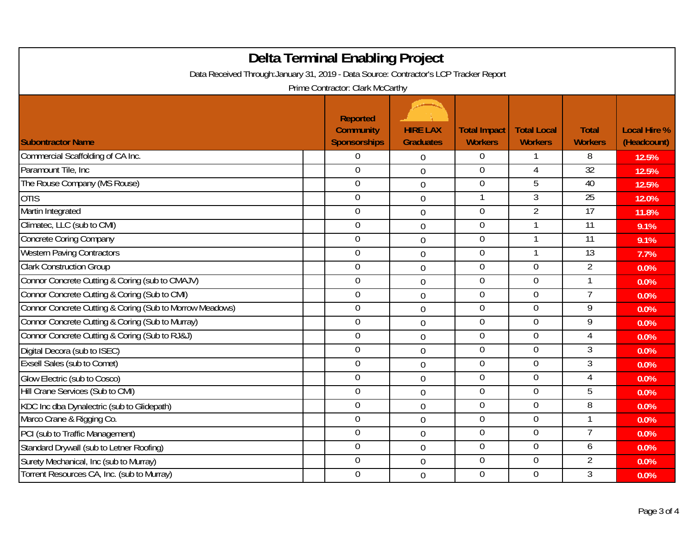| <b>Delta Terminal Enabling Project</b>                                                                                     |                |                |                |                |                 |       |  |
|----------------------------------------------------------------------------------------------------------------------------|----------------|----------------|----------------|----------------|-----------------|-------|--|
| Data Received Through: January 31, 2019 - Data Source: Contractor's LCP Tracker Report<br>Prime Contractor: Clark McCarthy |                |                |                |                |                 |       |  |
|                                                                                                                            |                |                |                |                |                 |       |  |
| Commercial Scaffolding of CA Inc.                                                                                          | $\overline{0}$ | 0              | $\Omega$       | $\mathbf{1}$   | 8               | 12.5% |  |
| Paramount Tile, Inc.                                                                                                       | $\overline{0}$ | $\overline{0}$ | $\overline{0}$ | 4              | 32              | 12.5% |  |
| The Rouse Company (MS Rouse)                                                                                               | $\overline{0}$ | $\overline{0}$ | $\overline{0}$ | 5              | 40              | 12.5% |  |
| <b>OTIS</b>                                                                                                                | $\overline{0}$ | $\mathbf 0$    | $\mathbf{1}$   | 3              | 25              | 12.0% |  |
| Martin Integrated                                                                                                          | $\overline{0}$ | $\mathbf 0$    | $\overline{0}$ | $\overline{2}$ | $\overline{17}$ | 11.8% |  |
| Climatec, LLC (sub to CMI)                                                                                                 | $\mathbf 0$    | $\overline{0}$ | $\mathbf 0$    | $\mathbf{1}$   | 11              | 9.1%  |  |
| <b>Concrete Coring Company</b>                                                                                             | $\mathbf 0$    | $\mathbf 0$    | $\overline{0}$ | $\mathbf{1}$   | 11              | 9.1%  |  |
| <b>Western Paving Contractors</b>                                                                                          | $\mathbf 0$    | $\overline{0}$ | $\Omega$       | $\mathbf{1}$   | $\overline{13}$ | 7.7%  |  |
| <b>Clark Construction Group</b>                                                                                            | $\overline{0}$ | $\overline{0}$ | $\overline{0}$ | $\overline{0}$ | $\overline{2}$  | 0.0%  |  |
| Connor Concrete Cutting & Coring (sub to CMAJV)                                                                            | $\mathbf 0$    | $\mathbf 0$    | $\mathbf{0}$   | $\overline{0}$ | $\mathbf 1$     | 0.0%  |  |
| Connor Concrete Cutting & Coring (Sub to CMI)                                                                              | $\mathbf 0$    | $\overline{0}$ | $\overline{0}$ | $\overline{0}$ | 7               | 0.0%  |  |
| Connor Concrete Cutting & Coring (Sub to Morrow Meadows)                                                                   | $\overline{0}$ | $\overline{0}$ | $\overline{0}$ | $\Omega$       | $\overline{9}$  | 0.0%  |  |
| Connor Concrete Cutting & Coring (Sub to Murray)                                                                           | $\mathbf 0$    | $\overline{0}$ | $\mathbf 0$    | $\overline{0}$ | 9               | 0.0%  |  |
| Connor Concrete Cutting & Coring (Sub to RJ&J)                                                                             | $\overline{0}$ | $\mathbf 0$    | $\overline{0}$ | $\overline{0}$ | 4               | 0.0%  |  |
| Digital Decora (sub to ISEC)                                                                                               | $\overline{0}$ | $\overline{0}$ | $\mathbf{0}$   | $\overline{0}$ | $\overline{3}$  | 0.0%  |  |
| <b>Exsell Sales (sub to Comet)</b>                                                                                         | $\overline{0}$ | $\mathbf 0$    | $\mathbf 0$    | $\overline{0}$ | 3               | 0.0%  |  |
| Glow Electric (sub to Cosco)                                                                                               | $\mathbf 0$    | $\overline{0}$ | $\mathbf 0$    | $\overline{0}$ | 4               | 0.0%  |  |
| Hill Crane Services (Sub to CMI)                                                                                           | $\overline{0}$ | $\mathbf 0$    | $\mathbf{0}$   | $\Omega$       | 5               | 0.0%  |  |
| KDC Inc dba Dynalectric (sub to Glidepath)                                                                                 | $\overline{0}$ | $\overline{0}$ | $\mathbf 0$    | $\theta$       | 8               | 0.0%  |  |
| Marco Crane & Rigging Co.                                                                                                  | $\overline{0}$ | $\overline{0}$ | $\mathbf{0}$   | $\overline{0}$ | 1               | 0.0%  |  |
| PCI (sub to Traffic Management)                                                                                            | $\mathbf 0$    | $\mathbf 0$    | $\overline{0}$ | $\overline{0}$ | $\overline{7}$  | 0.0%  |  |
| Standard Drywall (sub to Letner Roofing)                                                                                   | $\overline{0}$ | $\overline{0}$ | $\mathbf 0$    | $\overline{0}$ | 6               | 0.0%  |  |
| Surety Mechanical, Inc (sub to Murray)                                                                                     | $\overline{0}$ | $\overline{0}$ | $\overline{0}$ | $\overline{0}$ | $\overline{2}$  | 0.0%  |  |
| Torrent Resources CA, Inc. (sub to Murray)                                                                                 | $\mathbf 0$    | $\overline{0}$ | $\overline{0}$ | $\Omega$       | $\mathfrak{Z}$  | 0.0%  |  |